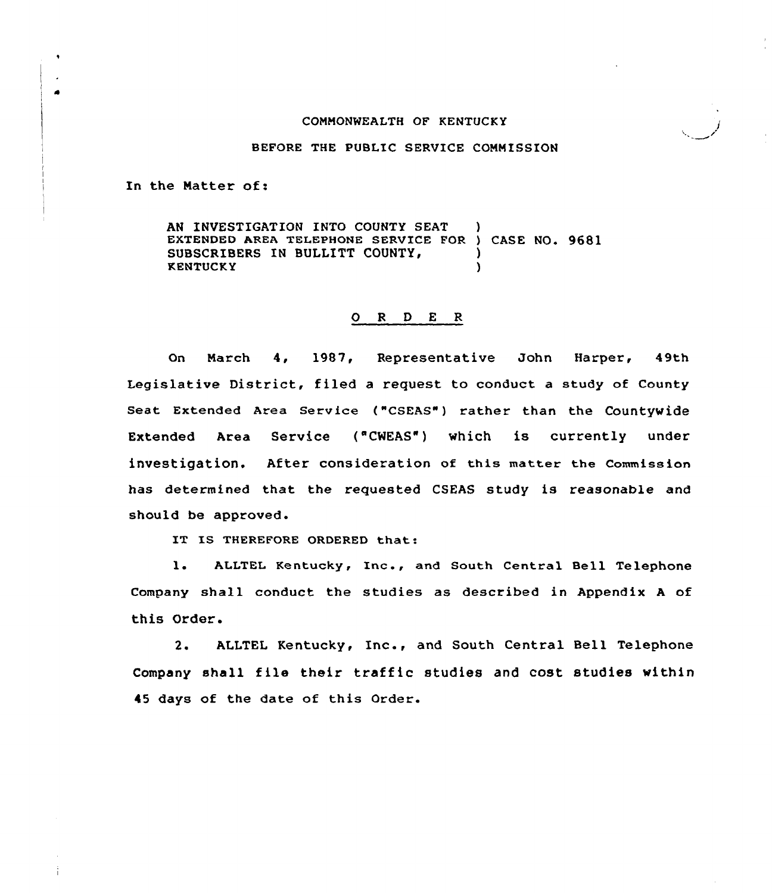#### CONNONWEALTH OF KENTUCKY

#### BEFORE THE PUBLIC SERVICE CONNISSION

In the Natter of:

 $\bullet$ 

AN INVESTIGATION INTO COUNTY SEAT EXTENDED AREA TELEPHONE SERVICE FOR ) CASE NO. 9681<br>SUBSCRIBERS IN BULLITT COUNTY. SUBSCRIBERS IN BULLITT COUNTY, KENTUCKY )

### 0 <sup>R</sup> <sup>D</sup> <sup>E</sup> <sup>R</sup>

On Narch 4, 1987, Representative John Harper, 49th Legislative District, filed a request to conduct a study of County Seat Extended Area Service ("CSEAS") rather than the Countywide Extended Area Service ("CWEAS") which is currently under investigation. After consideration of this matter the commission has determined that the requested CSEAS study is reasonable and should be approved.

IT IS THEREFORE ORDERED that:

l. ALLTEL Kentucky, Inc., and South Central Bell Telephone Company shall conduct the studies as described in Appendix <sup>A</sup> of this Order.

2. ALLTEL Kentucky, Inc., and South Central Bell Telephone Company shall file their traffic studies and cost studies within 45 days of the date of this Order.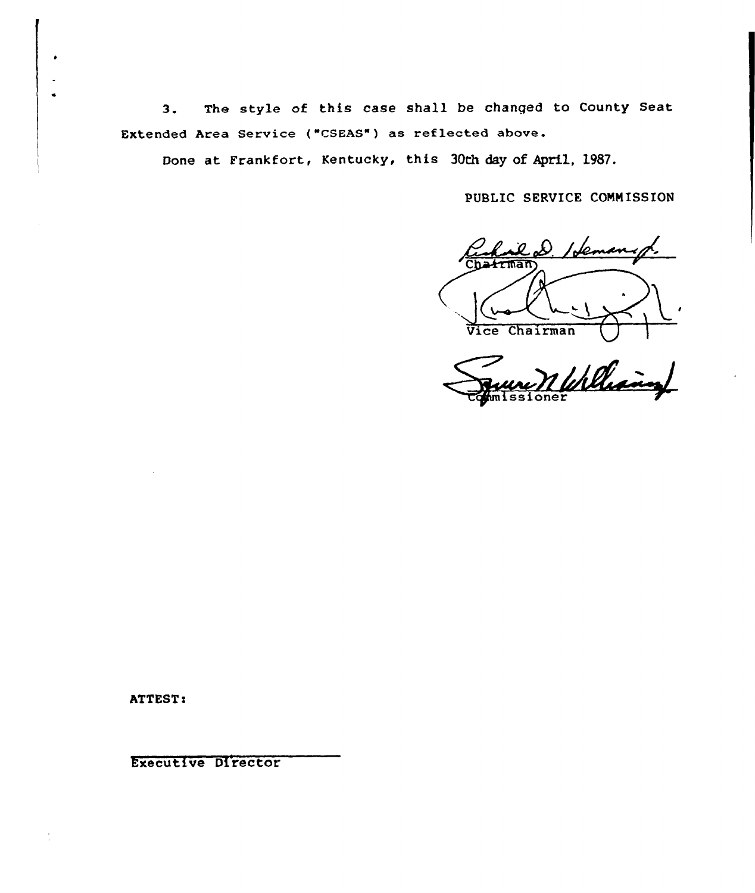The style of this case shall be changed to County Seat  $3.$ Extended Area Service ("CSEAS") as reflected above.

Done at Frankfort, Kentucky, this 30th day of April, 1987.

PUBLIC SERVICE COMMISSION

trman Vice Chairman

Williams oner

ATTEST:

Executive Director